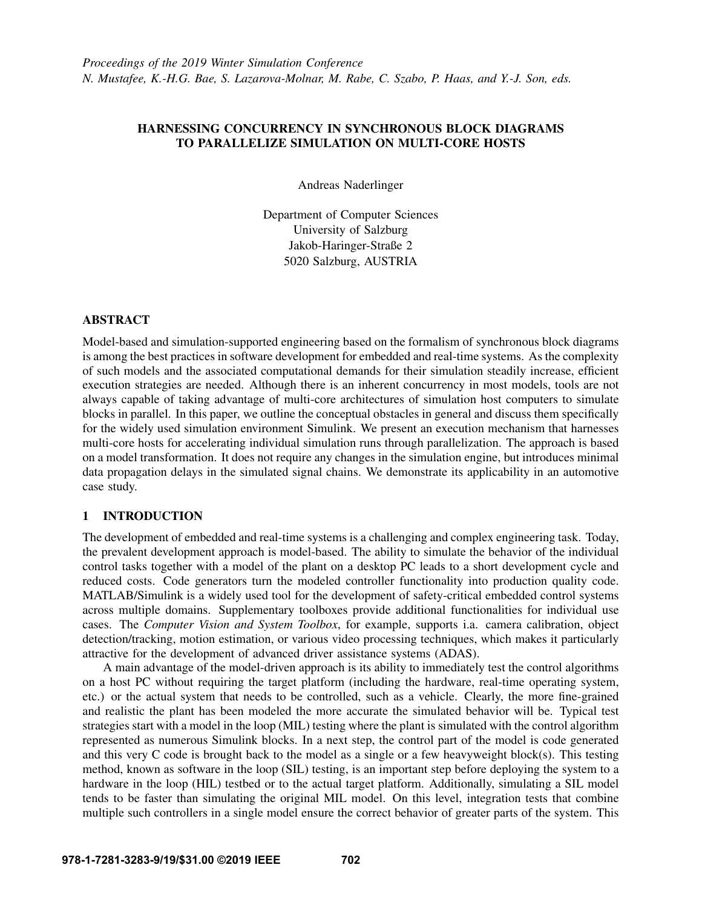# HARNESSING CONCURRENCY IN SYNCHRONOUS BLOCK DIAGRAMS TO PARALLELIZE SIMULATION ON MULTI-CORE HOSTS

Andreas Naderlinger

Department of Computer Sciences University of Salzburg Jakob-Haringer-Straße 2 5020 Salzburg, AUSTRIA

# ABSTRACT

Model-based and simulation-supported engineering based on the formalism of synchronous block diagrams is among the best practices in software development for embedded and real-time systems. As the complexity of such models and the associated computational demands for their simulation steadily increase, efficient execution strategies are needed. Although there is an inherent concurrency in most models, tools are not always capable of taking advantage of multi-core architectures of simulation host computers to simulate blocks in parallel. In this paper, we outline the conceptual obstacles in general and discuss them specifically for the widely used simulation environment Simulink. We present an execution mechanism that harnesses multi-core hosts for accelerating individual simulation runs through parallelization. The approach is based on a model transformation. It does not require any changes in the simulation engine, but introduces minimal data propagation delays in the simulated signal chains. We demonstrate its applicability in an automotive case study.

# 1 INTRODUCTION

The development of embedded and real-time systems is a challenging and complex engineering task. Today, the prevalent development approach is model-based. The ability to simulate the behavior of the individual control tasks together with a model of the plant on a desktop PC leads to a short development cycle and reduced costs. Code generators turn the modeled controller functionality into production quality code. MATLAB/Simulink is a widely used tool for the development of safety-critical embedded control systems across multiple domains. Supplementary toolboxes provide additional functionalities for individual use cases. The *Computer Vision and System Toolbox*, for example, supports i.a. camera calibration, object detection/tracking, motion estimation, or various video processing techniques, which makes it particularly attractive for the development of advanced driver assistance systems (ADAS).

A main advantage of the model-driven approach is its ability to immediately test the control algorithms on a host PC without requiring the target platform (including the hardware, real-time operating system, etc.) or the actual system that needs to be controlled, such as a vehicle. Clearly, the more fine-grained and realistic the plant has been modeled the more accurate the simulated behavior will be. Typical test strategies start with a model in the loop (MIL) testing where the plant is simulated with the control algorithm represented as numerous Simulink blocks. In a next step, the control part of the model is code generated and this very C code is brought back to the model as a single or a few heavyweight block(s). This testing method, known as software in the loop (SIL) testing, is an important step before deploying the system to a hardware in the loop (HIL) testbed or to the actual target platform. Additionally, simulating a SIL model tends to be faster than simulating the original MIL model. On this level, integration tests that combine multiple such controllers in a single model ensure the correct behavior of greater parts of the system. This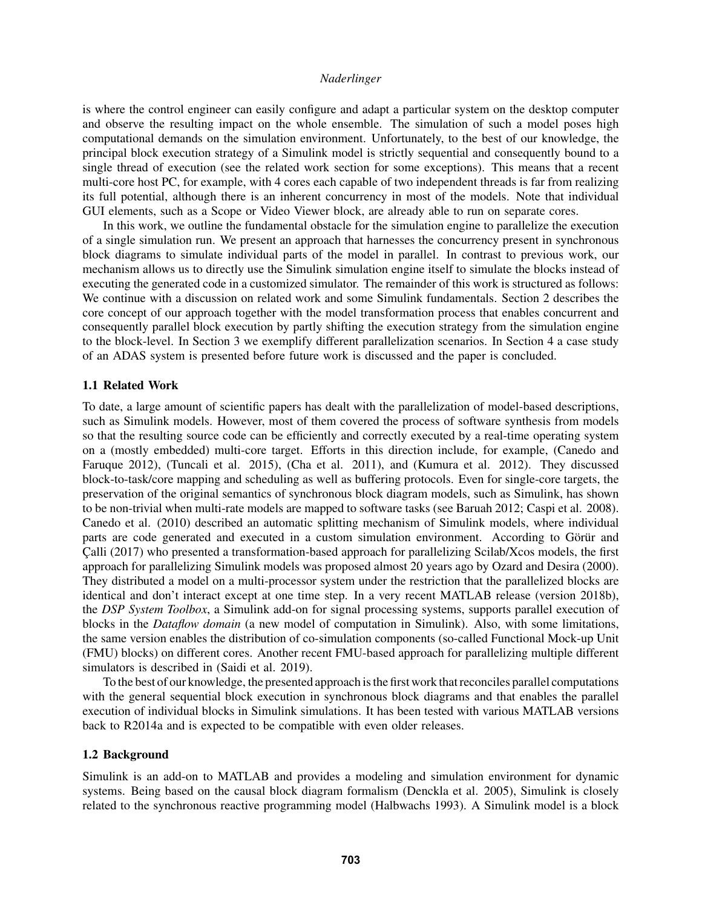is where the control engineer can easily configure and adapt a particular system on the desktop computer and observe the resulting impact on the whole ensemble. The simulation of such a model poses high computational demands on the simulation environment. Unfortunately, to the best of our knowledge, the principal block execution strategy of a Simulink model is strictly sequential and consequently bound to a single thread of execution (see the related work section for some exceptions). This means that a recent multi-core host PC, for example, with 4 cores each capable of two independent threads is far from realizing its full potential, although there is an inherent concurrency in most of the models. Note that individual GUI elements, such as a Scope or Video Viewer block, are already able to run on separate cores.

In this work, we outline the fundamental obstacle for the simulation engine to parallelize the execution of a single simulation run. We present an approach that harnesses the concurrency present in synchronous block diagrams to simulate individual parts of the model in parallel. In contrast to previous work, our mechanism allows us to directly use the Simulink simulation engine itself to simulate the blocks instead of executing the generated code in a customized simulator. The remainder of this work is structured as follows: We continue with a discussion on related work and some Simulink fundamentals. Section [2](#page-2-0) describes the core concept of our approach together with the model transformation process that enables concurrent and consequently parallel block execution by partly shifting the execution strategy from the simulation engine to the block-level. In Section [3](#page-7-0) we exemplify different parallelization scenarios. In Section [4](#page-10-0) a case study of an ADAS system is presented before future work is discussed and the paper is concluded.

# <span id="page-1-1"></span>1.1 Related Work

To date, a large amount of scientific papers has dealt with the parallelization of model-based descriptions, such as Simulink models. However, most of them covered the process of software synthesis from models so that the resulting source code can be efficiently and correctly executed by a real-time operating system on a (mostly embedded) multi-core target. Efforts in this direction include, for example, [\(Canedo and](#page-11-0) [Faruque 2012\)](#page-11-0), [\(Tuncali et al. 2015\)](#page-11-1), [\(Cha et al. 2011\)](#page-11-2), and [\(Kumura et al. 2012\)](#page-11-3). They discussed block-to-task/core mapping and scheduling as well as buffering protocols. Even for single-core targets, the preservation of the original semantics of synchronous block diagram models, such as Simulink, has shown to be non-trivial when multi-rate models are mapped to software tasks (see [Baruah 2012;](#page-11-4) [Caspi et al. 2008\)](#page-11-5). [Canedo et al. \(2010\)](#page-11-6) described an automatic splitting mechanism of Simulink models, where individual parts are code generated and executed in a custom simulation environment. According to Görür and Calli (2017) who presented a transformation-based approach for parallelizing Scilab/Xcos models, the first approach for parallelizing Simulink models was proposed almost 20 years ago by [Ozard and Desira \(2000\).](#page-11-8) They distributed a model on a multi-processor system under the restriction that the parallelized blocks are identical and don't interact except at one time step. In a very recent MATLAB release (version 2018b), the *DSP System Toolbox*, a Simulink add-on for signal processing systems, supports parallel execution of blocks in the *Dataflow domain* (a new model of computation in Simulink). Also, with some limitations, the same version enables the distribution of co-simulation components (so-called Functional Mock-up Unit (FMU) blocks) on different cores. Another recent FMU-based approach for parallelizing multiple different simulators is described in [\(Saidi et al. 2019\)](#page-11-9).

To the best of our knowledge, the presented approach is the first work that reconciles parallel computations with the general sequential block execution in synchronous block diagrams and that enables the parallel execution of individual blocks in Simulink simulations. It has been tested with various MATLAB versions back to R2014a and is expected to be compatible with even older releases.

# <span id="page-1-0"></span>1.2 Background

Simulink is an add-on to MATLAB and provides a modeling and simulation environment for dynamic systems. Being based on the causal block diagram formalism [\(Denckla et al. 2005\)](#page-11-10), Simulink is closely related to the synchronous reactive programming model [\(Halbwachs 1993\)](#page-11-11). A Simulink model is a block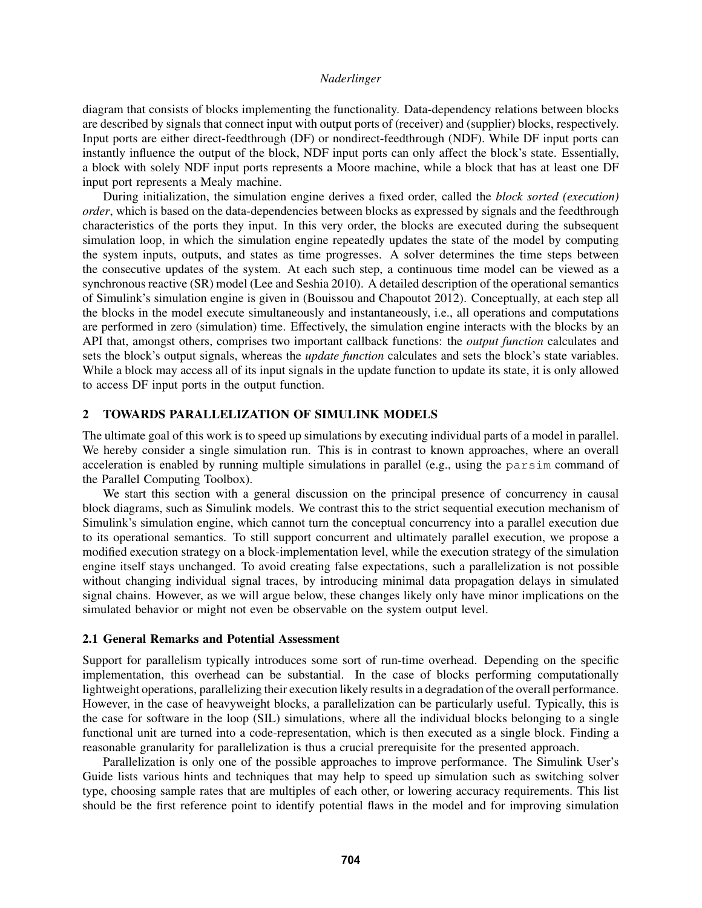diagram that consists of blocks implementing the functionality. Data-dependency relations between blocks are described by signals that connect input with output ports of (receiver) and (supplier) blocks, respectively. Input ports are either direct-feedthrough (DF) or nondirect-feedthrough (NDF). While DF input ports can instantly influence the output of the block, NDF input ports can only affect the block's state. Essentially, a block with solely NDF input ports represents a Moore machine, while a block that has at least one DF input port represents a Mealy machine.

During initialization, the simulation engine derives a fixed order, called the *block sorted (execution) order*, which is based on the data-dependencies between blocks as expressed by signals and the feedthrough characteristics of the ports they input. In this very order, the blocks are executed during the subsequent simulation loop, in which the simulation engine repeatedly updates the state of the model by computing the system inputs, outputs, and states as time progresses. A solver determines the time steps between the consecutive updates of the system. At each such step, a continuous time model can be viewed as a synchronous reactive (SR) model [\(Lee and Seshia 2010\)](#page-11-12). A detailed description of the operational semantics of Simulink's simulation engine is given in [\(Bouissou and Chapoutot 2012\)](#page-11-13). Conceptually, at each step all the blocks in the model execute simultaneously and instantaneously, i.e., all operations and computations are performed in zero (simulation) time. Effectively, the simulation engine interacts with the blocks by an API that, amongst others, comprises two important callback functions: the *output function* calculates and sets the block's output signals, whereas the *update function* calculates and sets the block's state variables. While a block may access all of its input signals in the update function to update its state, it is only allowed to access DF input ports in the output function.

## <span id="page-2-0"></span>2 TOWARDS PARALLELIZATION OF SIMULINK MODELS

The ultimate goal of this work is to speed up simulations by executing individual parts of a model in parallel. We hereby consider a single simulation run. This is in contrast to known approaches, where an overall acceleration is enabled by running multiple simulations in parallel (e.g., using the parsim command of the Parallel Computing Toolbox).

We start this section with a general discussion on the principal presence of concurrency in causal block diagrams, such as Simulink models. We contrast this to the strict sequential execution mechanism of Simulink's simulation engine, which cannot turn the conceptual concurrency into a parallel execution due to its operational semantics. To still support concurrent and ultimately parallel execution, we propose a modified execution strategy on a block-implementation level, while the execution strategy of the simulation engine itself stays unchanged. To avoid creating false expectations, such a parallelization is not possible without changing individual signal traces, by introducing minimal data propagation delays in simulated signal chains. However, as we will argue below, these changes likely only have minor implications on the simulated behavior or might not even be observable on the system output level.

### 2.1 General Remarks and Potential Assessment

Support for parallelism typically introduces some sort of run-time overhead. Depending on the specific implementation, this overhead can be substantial. In the case of blocks performing computationally lightweight operations, parallelizing their execution likely results in a degradation of the overall performance. However, in the case of heavyweight blocks, a parallelization can be particularly useful. Typically, this is the case for software in the loop (SIL) simulations, where all the individual blocks belonging to a single functional unit are turned into a code-representation, which is then executed as a single block. Finding a reasonable granularity for parallelization is thus a crucial prerequisite for the presented approach.

Parallelization is only one of the possible approaches to improve performance. The Simulink User's Guide lists various hints and techniques that may help to speed up simulation such as switching solver type, choosing sample rates that are multiples of each other, or lowering accuracy requirements. This list should be the first reference point to identify potential flaws in the model and for improving simulation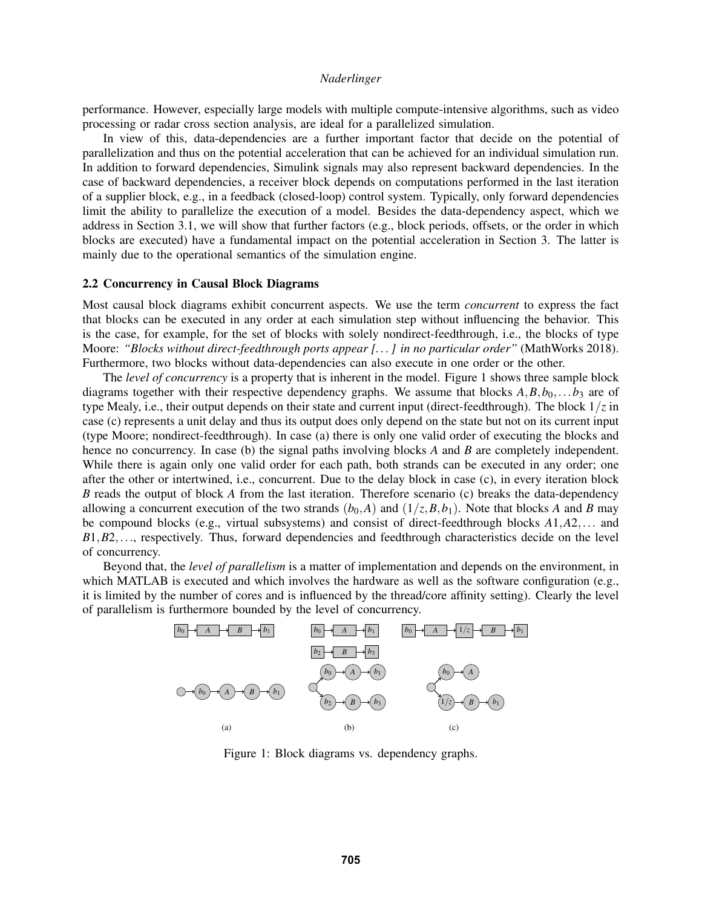performance. However, especially large models with multiple compute-intensive algorithms, such as video processing or radar cross section analysis, are ideal for a parallelized simulation.

In view of this, data-dependencies are a further important factor that decide on the potential of parallelization and thus on the potential acceleration that can be achieved for an individual simulation run. In addition to forward dependencies, Simulink signals may also represent backward dependencies. In the case of backward dependencies, a receiver block depends on computations performed in the last iteration of a supplier block, e.g., in a feedback (closed-loop) control system. Typically, only forward dependencies limit the ability to parallelize the execution of a model. Besides the data-dependency aspect, which we address in Section [3.1,](#page-9-0) we will show that further factors (e.g., block periods, offsets, or the order in which blocks are executed) have a fundamental impact on the potential acceleration in Section [3.](#page-7-0) The latter is mainly due to the operational semantics of the simulation engine.

### 2.2 Concurrency in Causal Block Diagrams

Most causal block diagrams exhibit concurrent aspects. We use the term *concurrent* to express the fact that blocks can be executed in any order at each simulation step without influencing the behavior. This is the case, for example, for the set of blocks with solely nondirect-feedthrough, i.e., the blocks of type Moore: *"Blocks without direct-feedthrough ports appear [. . . ] in no particular order"* [\(MathWorks 2018\)](#page-11-14). Furthermore, two blocks without data-dependencies can also execute in one order or the other.

The *level of concurrency* is a property that is inherent in the model. Figure [1](#page-3-0) shows three sample block diagrams together with their respective dependency graphs. We assume that blocks  $A, B, b_0, \ldots, b_3$  are of type Mealy, i.e., their output depends on their state and current input (direct-feedthrough). The block 1/*z* in case (c) represents a unit delay and thus its output does only depend on the state but not on its current input (type Moore; nondirect-feedthrough). In case (a) there is only one valid order of executing the blocks and hence no concurrency. In case (b) the signal paths involving blocks *A* and *B* are completely independent. While there is again only one valid order for each path, both strands can be executed in any order; one after the other or intertwined, i.e., concurrent. Due to the delay block in case (c), in every iteration block *B* reads the output of block *A* from the last iteration. Therefore scenario (c) breaks the data-dependency allowing a concurrent execution of the two strands  $(b_0, A)$  and  $(1/z, B, b_1)$ . Note that blocks *A* and *B* may be compound blocks (e.g., virtual subsystems) and consist of direct-feedthrough blocks *A*1,*A*2,... and *B*1,*B*2,..., respectively. Thus, forward dependencies and feedthrough characteristics decide on the level of concurrency.

Beyond that, the *level of parallelism* is a matter of implementation and depends on the environment, in which MATLAB is executed and which involves the hardware as well as the software configuration (e.g., it is limited by the number of cores and is influenced by the thread/core affinity setting). Clearly the level of parallelism is furthermore bounded by the level of concurrency.



<span id="page-3-0"></span>Figure 1: Block diagrams vs. dependency graphs.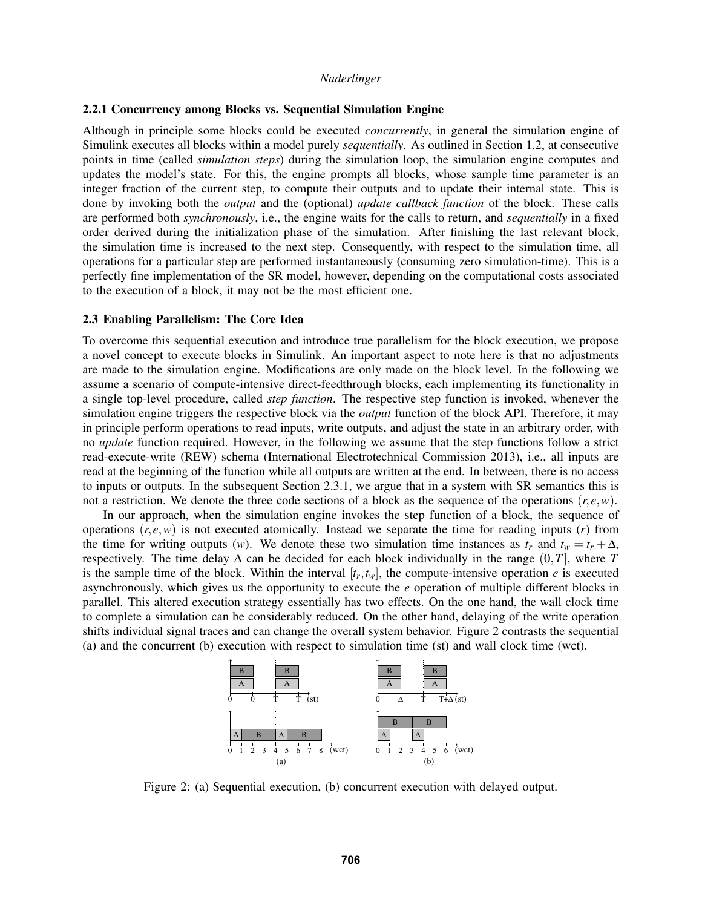### 2.2.1 Concurrency among Blocks vs. Sequential Simulation Engine

Although in principle some blocks could be executed *concurrently*, in general the simulation engine of Simulink executes all blocks within a model purely *sequentially*. As outlined in Section [1.2,](#page-1-0) at consecutive points in time (called *simulation steps*) during the simulation loop, the simulation engine computes and updates the model's state. For this, the engine prompts all blocks, whose sample time parameter is an integer fraction of the current step, to compute their outputs and to update their internal state. This is done by invoking both the *output* and the (optional) *update callback function* of the block. These calls are performed both *synchronously*, i.e., the engine waits for the calls to return, and *sequentially* in a fixed order derived during the initialization phase of the simulation. After finishing the last relevant block, the simulation time is increased to the next step. Consequently, with respect to the simulation time, all operations for a particular step are performed instantaneously (consuming zero simulation-time). This is a perfectly fine implementation of the SR model, however, depending on the computational costs associated to the execution of a block, it may not be the most efficient one.

## 2.3 Enabling Parallelism: The Core Idea

To overcome this sequential execution and introduce true parallelism for the block execution, we propose a novel concept to execute blocks in Simulink. An important aspect to note here is that no adjustments are made to the simulation engine. Modifications are only made on the block level. In the following we assume a scenario of compute-intensive direct-feedthrough blocks, each implementing its functionality in a single top-level procedure, called *step function*. The respective step function is invoked, whenever the simulation engine triggers the respective block via the *output* function of the block API. Therefore, it may in principle perform operations to read inputs, write outputs, and adjust the state in an arbitrary order, with no *update* function required. However, in the following we assume that the step functions follow a strict read-execute-write (REW) schema [\(International Electrotechnical Commission 2013\)](#page-11-15), i.e., all inputs are read at the beginning of the function while all outputs are written at the end. In between, there is no access to inputs or outputs. In the subsequent Section [2.3.1,](#page-5-0) we argue that in a system with SR semantics this is not a restriction. We denote the three code sections of a block as the sequence of the operations  $(r, e, w)$ .

In our approach, when the simulation engine invokes the step function of a block, the sequence of operations  $(r, e, w)$  is not executed atomically. Instead we separate the time for reading inputs  $(r)$  from the time for writing outputs (*w*). We denote these two simulation time instances as  $t_r$  and  $t_w = t_r + \Delta$ , respectively. The time delay  $\Delta$  can be decided for each block individually in the range  $(0, T]$ , where *T* is the sample time of the block. Within the interval  $[t_r, t_w]$ , the compute-intensive operation *e* is executed asynchronously, which gives us the opportunity to execute the *e* operation of multiple different blocks in parallel. This altered execution strategy essentially has two effects. On the one hand, the wall clock time to complete a simulation can be considerably reduced. On the other hand, delaying of the write operation shifts individual signal traces and can change the overall system behavior. Figure [2](#page-4-0) contrasts the sequential (a) and the concurrent (b) execution with respect to simulation time (st) and wall clock time (wct).



<span id="page-4-0"></span>Figure 2: (a) Sequential execution, (b) concurrent execution with delayed output.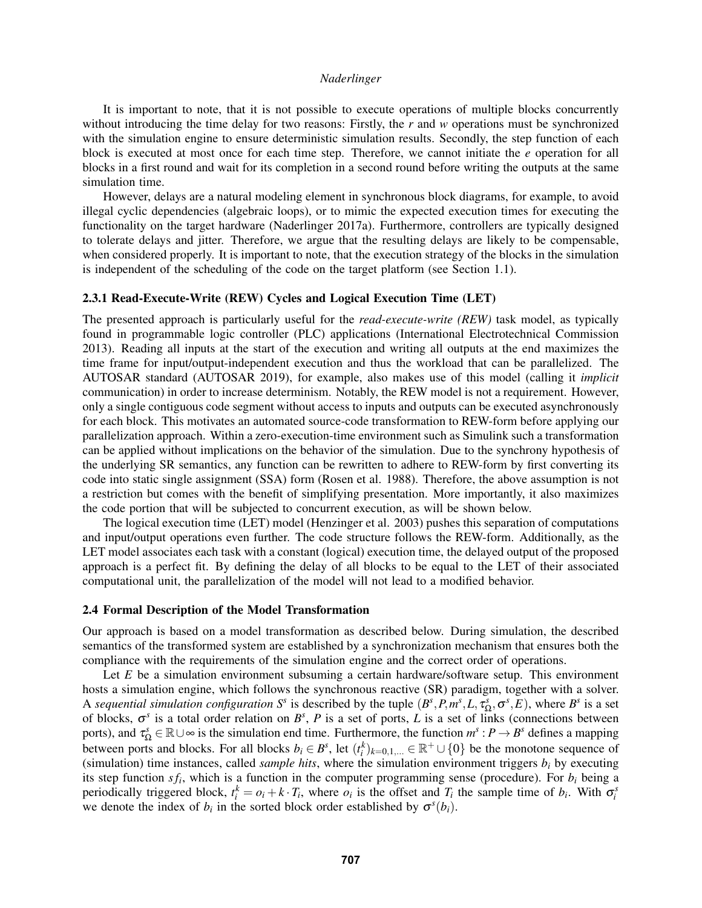It is important to note, that it is not possible to execute operations of multiple blocks concurrently without introducing the time delay for two reasons: Firstly, the *r* and *w* operations must be synchronized with the simulation engine to ensure deterministic simulation results. Secondly, the step function of each block is executed at most once for each time step. Therefore, we cannot initiate the *e* operation for all blocks in a first round and wait for its completion in a second round before writing the outputs at the same simulation time.

However, delays are a natural modeling element in synchronous block diagrams, for example, to avoid illegal cyclic dependencies (algebraic loops), or to mimic the expected execution times for executing the functionality on the target hardware [\(Naderlinger 2017a\)](#page-11-16). Furthermore, controllers are typically designed to tolerate delays and jitter. Therefore, we argue that the resulting delays are likely to be compensable, when considered properly. It is important to note, that the execution strategy of the blocks in the simulation is independent of the scheduling of the code on the target platform (see Section [1.1\)](#page-1-1).

# <span id="page-5-0"></span>2.3.1 Read-Execute-Write (REW) Cycles and Logical Execution Time (LET)

The presented approach is particularly useful for the *read-execute-write (REW)* task model, as typically found in programmable logic controller (PLC) applications [\(International Electrotechnical Commission](#page-11-15) [2013\)](#page-11-15). Reading all inputs at the start of the execution and writing all outputs at the end maximizes the time frame for input/output-independent execution and thus the workload that can be parallelized. The AUTOSAR standard [\(AUTOSAR 2019\)](#page-11-17), for example, also makes use of this model (calling it *implicit* communication) in order to increase determinism. Notably, the REW model is not a requirement. However, only a single contiguous code segment without access to inputs and outputs can be executed asynchronously for each block. This motivates an automated source-code transformation to REW-form before applying our parallelization approach. Within a zero-execution-time environment such as Simulink such a transformation can be applied without implications on the behavior of the simulation. Due to the synchrony hypothesis of the underlying SR semantics, any function can be rewritten to adhere to REW-form by first converting its code into static single assignment (SSA) form [\(Rosen et al. 1988\)](#page-11-18). Therefore, the above assumption is not a restriction but comes with the benefit of simplifying presentation. More importantly, it also maximizes the code portion that will be subjected to concurrent execution, as will be shown below.

The logical execution time (LET) model [\(Henzinger et al. 2003\)](#page-11-19) pushes this separation of computations and input/output operations even further. The code structure follows the REW-form. Additionally, as the LET model associates each task with a constant (logical) execution time, the delayed output of the proposed approach is a perfect fit. By defining the delay of all blocks to be equal to the LET of their associated computational unit, the parallelization of the model will not lead to a modified behavior.

#### <span id="page-5-1"></span>2.4 Formal Description of the Model Transformation

Our approach is based on a model transformation as described below. During simulation, the described semantics of the transformed system are established by a synchronization mechanism that ensures both the compliance with the requirements of the simulation engine and the correct order of operations.

Let *E* be a simulation environment subsuming a certain hardware/software setup. This environment hosts a simulation engine, which follows the synchronous reactive (SR) paradigm, together with a solver. A *sequential simulation configuration*  $S^s$  is described by the tuple  $(B^s, P, m^s, L, \tau_{\Omega}^s, \sigma^s, E)$ , where  $B^s$  is a set of blocks,  $\sigma^s$  is a total order relation on  $B^s$ , P is a set of ports, L is a set of links (connections between ports), and  $\tau_{\Omega}^s \in \mathbb{R} \cup \infty$  is the simulation end time. Furthermore, the function  $m^s : P \to B^s$  defines a mapping between ports and blocks. For all blocks  $b_i \in B^s$ , let  $(t_i^k)_{k=0,1,...} \in \mathbb{R}^+ \cup \{0\}$  be the monotone sequence of (simulation) time instances, called *sample hits*, where the simulation environment triggers  $b_i$  by executing its step function  $sf_i$ , which is a function in the computer programming sense (procedure). For  $b_i$  being a periodically triggered block,  $t_i^k = o_i + k \cdot T_i$ , where  $o_i$  is the offset and  $T_i$  the sample time of  $b_i$ . With  $\sigma_i^s$ we denote the index of  $b_i$  in the sorted block order established by  $\sigma^s(b_i)$ .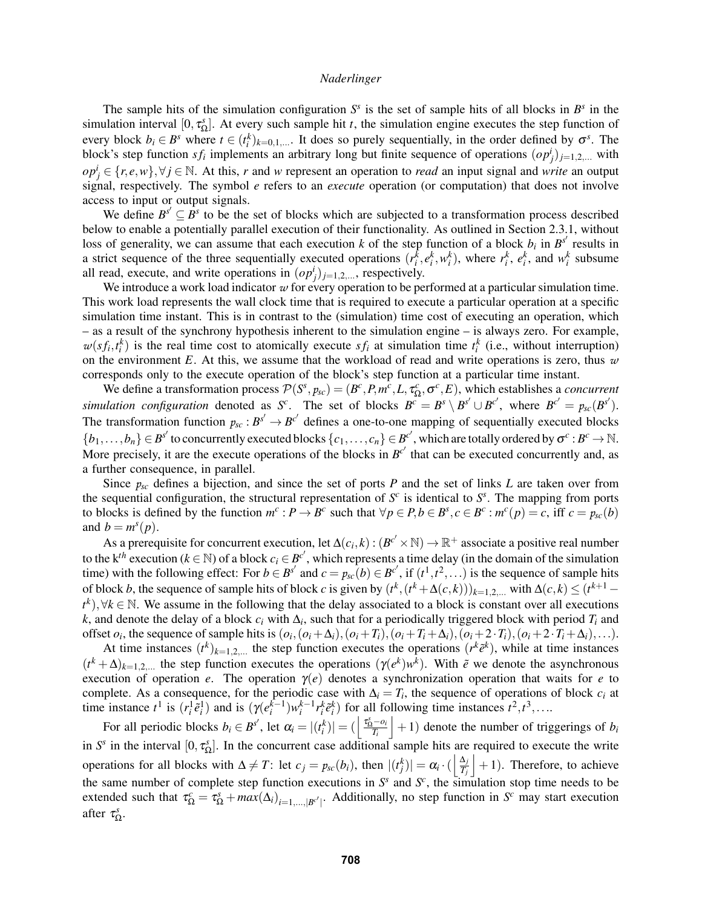The sample hits of the simulation configuration  $S<sup>s</sup>$  is the set of sample hits of all blocks in  $B<sup>s</sup>$  in the simulation interval  $[0, \tau_{\Omega}^s]$ . At every such sample hit *t*, the simulation engine executes the step function of every block  $b_i \in B^s$  where  $t \in (t_i^k)_{k=0,1,...}$ . It does so purely sequentially, in the order defined by  $\sigma^s$ . The block's step function  $sf_i$  implements an arbitrary long but finite sequence of operations  $(op_j^i)_{j=1,2,...}$  with  $op_j^i \in \{r, e, w\}, \forall j \in \mathbb{N}$ . At this, *r* and *w* represent an operation to *read* an input signal and *write* an output signal, respectively. The symbol *e* refers to an *execute* operation (or computation) that does not involve access to input or output signals.

We define  $B^{s'} \subseteq B^s$  to be the set of blocks which are subjected to a transformation process described below to enable a potentially parallel execution of their functionality. As outlined in Section [2.3.1,](#page-5-0) without loss of generality, we can assume that each execution *k* of the step function of a block  $b_i$  in  $B^{s'}$  results in a strict sequence of the three sequentially executed operations  $(r_i^k, e_i^k, w_i^k)$ , where  $r_i^k$ ,  $e_i^k$ , and  $w_i^k$  subsume all read, execute, and write operations in  $(op_j^i)_{j=1,2,...}$ , respectively.

We introduce a work load indicator  $w$  for every operation to be performed at a particular simulation time. This work load represents the wall clock time that is required to execute a particular operation at a specific simulation time instant. This is in contrast to the (simulation) time cost of executing an operation, which – as a result of the synchrony hypothesis inherent to the simulation engine – is always zero. For example,  $w(st_i, t_i^k)$  is the real time cost to atomically execute  $sf_i$  at simulation time  $t_i^k$  (i.e., without interruption) on the environment  $E$ . At this, we assume that the workload of read and write operations is zero, thus  $w$ corresponds only to the execute operation of the block's step function at a particular time instant.

We define a transformation process  $\mathcal{P}(S^s, p_{sc}) = (B^c, P, m^c, L, \tau_{\Omega}^c, \sigma^c, E)$ , which establishes a *concurrent* simulation configuration denoted as S<sup>c</sup>. The set of blocks  $B^c = B^s \setminus B^{s'} \cup B^{c'}$ , where  $B^{c'} = p_{sc}(B^{s'})$ . The transformation function  $p_{sc}: B^{s'} \to B^{c'}$  defines a one-to-one mapping of sequentially executed blocks  ${b_1,\ldots,b_n} \in B^{s'}$  to concurrently executed blocks  ${c_1,\ldots,c_n} \in B^{c'}$ , which are totally ordered by  $\sigma^c : B^c \to \mathbb{N}$ . More precisely, it are the execute operations of the blocks in  $B^{c'}$  that can be executed concurrently and, as a further consequence, in parallel.

Since  $p_{sc}$  defines a bijection, and since the set of ports *P* and the set of links *L* are taken over from the sequential configuration, the structural representation of  $S^c$  is identical to  $S^s$ . The mapping from ports to blocks is defined by the function  $m^c : P \to B^c$  such that  $\forall p \in P, b \in B^s, c \in B^c : m^c(p) = c$ , iff  $c = p_{sc}(b)$ and  $b = m<sup>s</sup>(p)$ .

As a prerequisite for concurrent execution, let  $\Delta(c_i, k) : (B^{c'} \times \mathbb{N}) \to \mathbb{R}^+$  associate a positive real number to the k<sup>th</sup> execution ( $k \in \mathbb{N}$ ) of a block  $c_i \in B^{c'}$ , which represents a time delay (in the domain of the simulation time) with the following effect: For  $b \in B^{s'}$  and  $c = p_{sc}(b) \in B^{c'}$ , if  $(t^1, t^2, \ldots)$  is the sequence of sample hits of block *b*, the sequence of sample hits of block *c* is given by  $(t^k, (t^k + \Delta(c,k)))_{k=1,2,...}$  with  $\Delta(c, k) \le (t^{k+1}$  $t^k$ ),  $\forall k \in \mathbb{N}$ . We assume in the following that the delay associated to a block is constant over all executions *k*, and denote the delay of a block  $c_i$  with  $\Delta_i$ , such that for a periodically triggered block with period  $T_i$  and offset  $o_i$ , the sequence of sample hits is  $(o_i, (o_i + \Delta_i), (o_i + T_i), (o_i + T_i + \Delta_i), (o_i + 2 \cdot T_i), (o_i + 2 \cdot T_i + \Delta_i), \ldots)$ .

At time instances  $(t^k)_{k=1,2,...}$  the step function executes the operations  $(r^k\tilde{e}^k)$ , while at time instances  $(t^k + \Delta)_{k=1,2,...}$  the step function executes the operations  $(\gamma(e^k)w^k)$ . With  $\tilde{e}$  we denote the asynchronous execution of operation *e*. The operation  $\gamma(e)$  denotes a synchronization operation that waits for *e* to complete. As a consequence, for the periodic case with  $\Delta_i = T_i$ , the sequence of operations of block  $c_i$  at time instance  $t^1$  is  $(r_i^1 \tilde{e}_i^1)$  and is  $(\gamma(e_i^{k-1})w_i^{k-1}r_i^k \tilde{e}_i^k)$  for all following time instances  $t^2, t^3, \ldots$ 

For all periodic blocks  $b_i \in B^{s'}$ , let  $\alpha_i = |(t_i^k)| = (\frac{\tau_0^s - o_i}{T_i})$  $|+1\rangle$  denote the number of triggerings of *b<sub>i</sub>* in  $S^s$  in the interval  $[0, \tau_{\Omega}^s]$ . In the concurrent case additional sample hits are required to execute the write operations for all blocks with  $\Delta \neq T$ : let  $c_j = p_{sc}(b_i)$ , then  $|(t_j^k)| = \alpha_i \cdot (|\frac{\Delta_j}{T_i})$ *Tj*  $+1$ ). Therefore, to achieve the same number of complete step function executions in  $S^s$  and  $S^c$ , the simulation stop time needs to be extended such that  $\tau_{\Omega}^c = \tau_{\Omega}^s + max(\Delta_i)_{i=1,\dots,|B^{c'}|}$ . Additionally, no step function in *S<sup>c</sup>* may start execution after  $\tau_{\Omega}^s$ .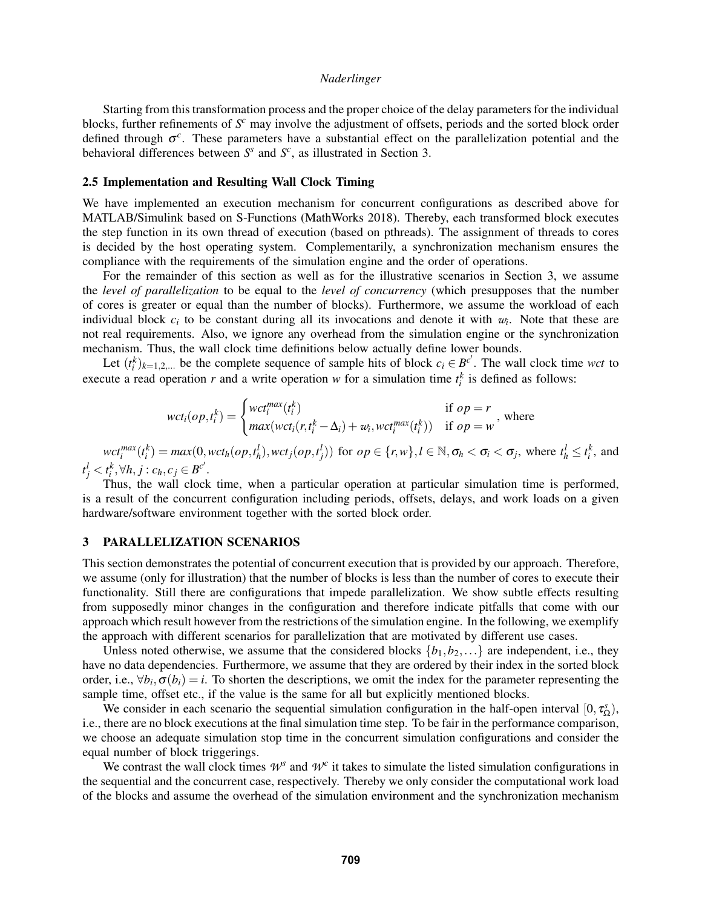Starting from this transformation process and the proper choice of the delay parameters for the individual blocks, further refinements of *S <sup>c</sup>* may involve the adjustment of offsets, periods and the sorted block order defined through  $\sigma^c$ . These parameters have a substantial effect on the parallelization potential and the behavioral differences between  $S^s$  and  $S^c$ , as illustrated in Section [3.](#page-7-0)

## 2.5 Implementation and Resulting Wall Clock Timing

We have implemented an execution mechanism for concurrent configurations as described above for MATLAB/Simulink based on S-Functions [\(MathWorks 2018\)](#page-11-14). Thereby, each transformed block executes the step function in its own thread of execution (based on pthreads). The assignment of threads to cores is decided by the host operating system. Complementarily, a synchronization mechanism ensures the compliance with the requirements of the simulation engine and the order of operations.

For the remainder of this section as well as for the illustrative scenarios in Section [3,](#page-7-0) we assume the *level of parallelization* to be equal to the *level of concurrency* (which presupposes that the number of cores is greater or equal than the number of blocks). Furthermore, we assume the workload of each individual block  $c_i$  to be constant during all its invocations and denote it with  $w_i$ . Note that these are not real requirements. Also, we ignore any overhead from the simulation engine or the synchronization mechanism. Thus, the wall clock time definitions below actually define lower bounds.

Let  $(t_i^k)_{k=1,2,...}$  be the complete sequence of sample hits of block  $c_i \in B^{c'}$ . The wall clock time *wct* to execute a read operation *r* and a write operation *w* for a simulation time  $t_i^k$  is defined as follows:

$$
wct_i(op, t_i^k) = \begin{cases} wct_i^{max}(t_i^k) & \text{if } op = r \\ max(wct_i(r, t_i^k - \Delta_i) + w_i, wct_i^{max}(t_i^k)) & \text{if } op = w \end{cases}
$$
, where

 $wct_i^{max}(t_i^k) = max(0, wct_h(op, t_h^l), wct_j(op, t_j^l))$  for  $op \in \{r, w\}, l \in \mathbb{N}, \sigma_h < \sigma_i < \sigma_j$ , where  $t_h^l \le t_i^k$ , and  $t_j^l < t_i^k, \forall h, j : c_h, c_j \in B^{c'}$ .

Thus, the wall clock time, when a particular operation at particular simulation time is performed, is a result of the concurrent configuration including periods, offsets, delays, and work loads on a given hardware/software environment together with the sorted block order.

## <span id="page-7-0"></span>3 PARALLELIZATION SCENARIOS

This section demonstrates the potential of concurrent execution that is provided by our approach. Therefore, we assume (only for illustration) that the number of blocks is less than the number of cores to execute their functionality. Still there are configurations that impede parallelization. We show subtle effects resulting from supposedly minor changes in the configuration and therefore indicate pitfalls that come with our approach which result however from the restrictions of the simulation engine. In the following, we exemplify the approach with different scenarios for parallelization that are motivated by different use cases.

Unless noted otherwise, we assume that the considered blocks  $\{b_1, b_2, \ldots\}$  are independent, i.e., they have no data dependencies. Furthermore, we assume that they are ordered by their index in the sorted block order, i.e.,  $\forall b_i, \sigma(b_i) = i$ . To shorten the descriptions, we omit the index for the parameter representing the sample time, offset etc., if the value is the same for all but explicitly mentioned blocks.

We consider in each scenario the sequential simulation configuration in the half-open interval  $[0, \tau_{\Omega}^s)$ , i.e., there are no block executions at the final simulation time step. To be fair in the performance comparison, we choose an adequate simulation stop time in the concurrent simulation configurations and consider the equal number of block triggerings.

We contrast the wall clock times  $W^s$  and  $W^c$  it takes to simulate the listed simulation configurations in the sequential and the concurrent case, respectively. Thereby we only consider the computational work load of the blocks and assume the overhead of the simulation environment and the synchronization mechanism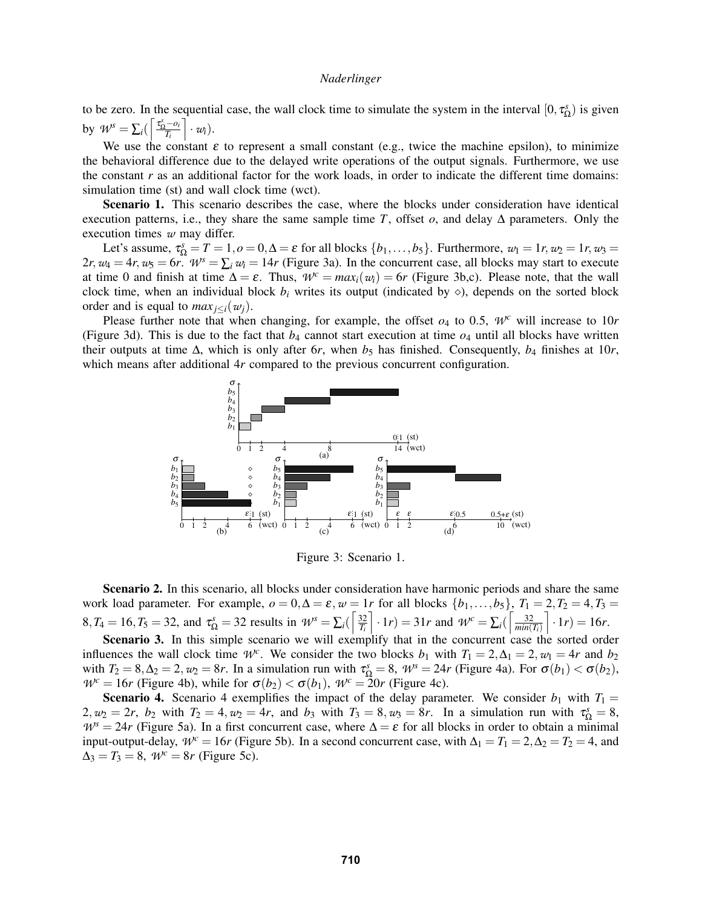to be zero. In the sequential case, the wall clock time to simulate the system in the interval  $[0, \tau_{\Omega}^s)$  is given by  $W^s = \sum_i \left( \left\lceil \frac{\tau_{\Omega}^s - o_i}{T_i} \right\rceil$  $\bigg] \cdot w_i$ ).

We use the constant  $\varepsilon$  to represent a small constant (e.g., twice the machine epsilon), to minimize the behavioral difference due to the delayed write operations of the output signals. Furthermore, we use the constant *r* as an additional factor for the work loads, in order to indicate the different time domains: simulation time (st) and wall clock time (wct).

Scenario 1. This scenario describes the case, where the blocks under consideration have identical execution patterns, i.e., they share the same sample time *T*, offset  $o$ , and delay  $\Delta$  parameters. Only the execution times *w* may differ.

Let's assume,  $\tau_{\Omega}^s = T = 1, o = 0, \Delta = \varepsilon$  for all blocks  $\{b_1, \ldots, b_5\}$ . Furthermore,  $w_1 = 1r, w_2 = 1r, w_3 =$ 2*r*,  $w_4 = 4r$ ,  $w_5 = 6r$ .  $W^s = \sum_i w_i = 14r$  (Figure [3a](#page-8-0)). In the concurrent case, all blocks may start to execute at time 0 and finish at time  $\Delta = \varepsilon$ . Thus,  $\mathcal{W}^c = \max_i(\mathbf{w}_i) = 6r$  (Figure [3b](#page-8-0),c). Please note, that the wall clock time, when an individual block  $b_i$  writes its output (indicated by  $\diamond$ ), depends on the sorted block order and is equal to  $max_{i \leq i}$   $(w_i)$ .

Please further note that when changing, for example, the offset  $o_4$  to 0.5,  $W^c$  will increase to 10*r* (Figure [3d](#page-8-0)). This is due to the fact that  $b_4$  cannot start execution at time  $o_4$  until all blocks have written their outputs at time  $\Delta$ , which is only after 6*r*, when  $b_5$  has finished. Consequently,  $b_4$  finishes at 10*r*, which means after additional 4*r* compared to the previous concurrent configuration.



<span id="page-8-0"></span>Figure 3: Scenario 1.

**Scenario 2.** In this scenario, all blocks under consideration have harmonic periods and share the same work load parameter. For example,  $o = 0, \Delta = \varepsilon, w = 1r$  for all blocks  $\{b_1, \ldots, b_5\}, T_1 = 2, T_2 = 4, T_3 =$  $8, T_4 = 16, T_5 = 32$ , and  $\tau_{\Omega}^s = 32$  results in  $W^s = \sum_i \left( \frac{32}{T_i} \right)$  $\left[ \cdot 1_r \right) = 31r$  and  $\mathcal{W}^c = \sum_i \left( \left[ \frac{32}{\text{min}(i)} \right]$  $min(T_i)$  $\left[ \cdot 1_r \right] = 16r.$ 

Scenario 3. In this simple scenario we will exemplify that in the concurrent case the sorted order influences the wall clock time  $W^c$ . We consider the two blocks *b*<sub>1</sub> with  $T_1 = 2, \Delta_1 = 2, w_1 = 4r$  and *b*<sub>2</sub> with  $T_2 = 8, \Delta_2 = 2, w_2 = 8r$ . In a simulation run with  $\tau_{\Omega}^s = 8, W^s = 24r$  (Figure [4a](#page-9-1)). For  $\sigma(b_1) < \sigma(b_2)$ ,  $W^c = 16r$  (Figure [4b](#page-9-1)), while for  $\sigma(b_2) < \sigma(b_1)$ ,  $W^c = 20r$  (Figure [4c](#page-9-1)).

**Scenario 4.** Scenario 4 exemplifies the impact of the delay parameter. We consider  $b_1$  with  $T_1 =$  $2, w_2 = 2r, b_2$  with  $T_2 = 4, w_2 = 4r$ , and  $b_3$  with  $T_3 = 8, w_3 = 8r$ . In a simulation run with  $\tau_{\Omega}^s = 8$ ,  $W^s = 24r$  (Figure [5a](#page-9-2)). In a first concurrent case, where  $\Delta = \varepsilon$  for all blocks in order to obtain a minimal input-output-delay,  $W^c = 16r$  (Figure [5b](#page-9-2)). In a second concurrent case, with  $\Delta_1 = T_1 = 2, \Delta_2 = T_2 = 4$ , and  $\Delta_3 = T_3 = 8$ ,  $W^c = 8r$  (Figure [5c](#page-9-2)).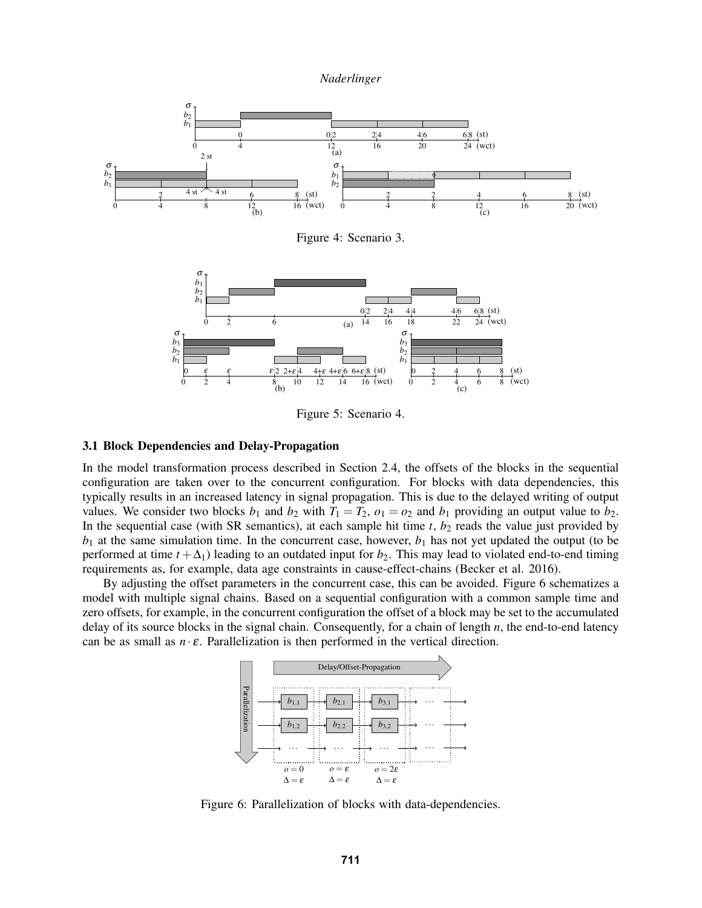

<span id="page-9-1"></span>Figure 4: Scenario 3.



<span id="page-9-2"></span>Figure 5: Scenario 4.

## <span id="page-9-0"></span>3.1 Block Dependencies and Delay-Propagation

In the model transformation process described in Section [2.4,](#page-5-1) the offsets of the blocks in the sequential configuration are taken over to the concurrent configuration. For blocks with data dependencies, this typically results in an increased latency in signal propagation. This is due to the delayed writing of output values. We consider two blocks  $b_1$  and  $b_2$  with  $T_1 = T_2$ ,  $o_1 = o_2$  and  $b_1$  providing an output value to  $b_2$ . In the sequential case (with SR semantics), at each sample hit time  $t$ ,  $b<sub>2</sub>$  reads the value just provided by  $b_1$  at the same simulation time. In the concurrent case, however,  $b_1$  has not yet updated the output (to be performed at time  $t + \Delta_1$ ) leading to an outdated input for  $b_2$ . This may lead to violated end-to-end timing requirements as, for example, data age constraints in cause-effect-chains [\(Becker et al. 2016\)](#page-11-20).

By adjusting the offset parameters in the concurrent case, this can be avoided. Figure [6](#page-9-3) schematizes a model with multiple signal chains. Based on a sequential configuration with a common sample time and zero offsets, for example, in the concurrent configuration the offset of a block may be set to the accumulated delay of its source blocks in the signal chain. Consequently, for a chain of length *n*, the end-to-end latency can be as small as  $n \cdot \varepsilon$ . Parallelization is then performed in the vertical direction.



<span id="page-9-3"></span>Figure 6: Parallelization of blocks with data-dependencies.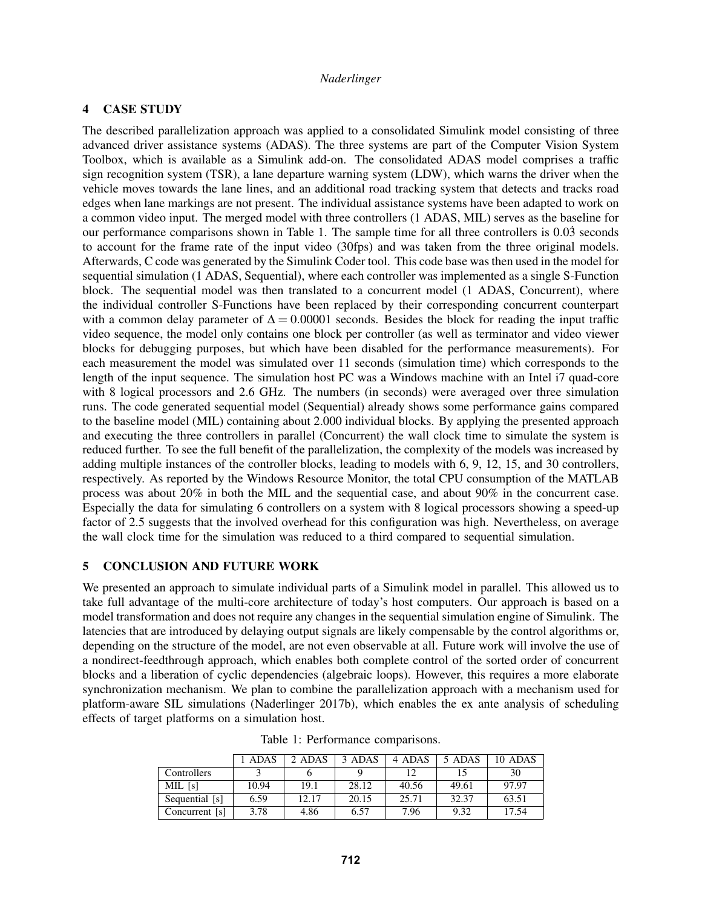# <span id="page-10-0"></span>4 CASE STUDY

The described parallelization approach was applied to a consolidated Simulink model consisting of three advanced driver assistance systems (ADAS). The three systems are part of the Computer Vision System Toolbox, which is available as a Simulink add-on. The consolidated ADAS model comprises a traffic sign recognition system (TSR), a lane departure warning system (LDW), which warns the driver when the vehicle moves towards the lane lines, and an additional road tracking system that detects and tracks road edges when lane markings are not present. The individual assistance systems have been adapted to work on a common video input. The merged model with three controllers (1 ADAS, MIL) serves as the baseline for our performance comparisons shown in Table [1.](#page-10-1) The sample time for all three controllers is  $0.03$  seconds to account for the frame rate of the input video (30fps) and was taken from the three original models. Afterwards, C code was generated by the Simulink Coder tool. This code base was then used in the model for sequential simulation (1 ADAS, Sequential), where each controller was implemented as a single S-Function block. The sequential model was then translated to a concurrent model (1 ADAS, Concurrent), where the individual controller S-Functions have been replaced by their corresponding concurrent counterpart with a common delay parameter of  $\Delta = 0.00001$  seconds. Besides the block for reading the input traffic video sequence, the model only contains one block per controller (as well as terminator and video viewer blocks for debugging purposes, but which have been disabled for the performance measurements). For each measurement the model was simulated over 11 seconds (simulation time) which corresponds to the length of the input sequence. The simulation host PC was a Windows machine with an Intel i7 quad-core with 8 logical processors and 2.6 GHz. The numbers (in seconds) were averaged over three simulation runs. The code generated sequential model (Sequential) already shows some performance gains compared to the baseline model (MIL) containing about 2.000 individual blocks. By applying the presented approach and executing the three controllers in parallel (Concurrent) the wall clock time to simulate the system is reduced further. To see the full benefit of the parallelization, the complexity of the models was increased by adding multiple instances of the controller blocks, leading to models with 6, 9, 12, 15, and 30 controllers, respectively. As reported by the Windows Resource Monitor, the total CPU consumption of the MATLAB process was about 20% in both the MIL and the sequential case, and about 90% in the concurrent case. Especially the data for simulating 6 controllers on a system with 8 logical processors showing a speed-up factor of 2.5 suggests that the involved overhead for this configuration was high. Nevertheless, on average the wall clock time for the simulation was reduced to a third compared to sequential simulation.

# 5 CONCLUSION AND FUTURE WORK

We presented an approach to simulate individual parts of a Simulink model in parallel. This allowed us to take full advantage of the multi-core architecture of today's host computers. Our approach is based on a model transformation and does not require any changes in the sequential simulation engine of Simulink. The latencies that are introduced by delaying output signals are likely compensable by the control algorithms or, depending on the structure of the model, are not even observable at all. Future work will involve the use of a nondirect-feedthrough approach, which enables both complete control of the sorted order of concurrent blocks and a liberation of cyclic dependencies (algebraic loops). However, this requires a more elaborate synchronization mechanism. We plan to combine the parallelization approach with a mechanism used for platform-aware SIL simulations [\(Naderlinger 2017b\)](#page-11-21), which enables the ex ante analysis of scheduling effects of target platforms on a simulation host.

|                | ADAS  | 2 ADAS | 3 ADAS | 4 ADAS | 5 ADAS | 10 ADAS |
|----------------|-------|--------|--------|--------|--------|---------|
| Controllers    |       |        |        |        |        | 30      |
| MIL [s]        | 10.94 | 19.1   | 28.12  | 40.56  | 49.61  | 97.97   |
| Sequential [s] | 6.59  | 12.17  | 20.15  | 25.71  | 32.37  | 63.51   |
| Concurrent [s] | 3.78  | 4.86   | 6.57   | 7.96   | 9.32   | 17.54   |

<span id="page-10-1"></span>Table 1: Performance comparisons.